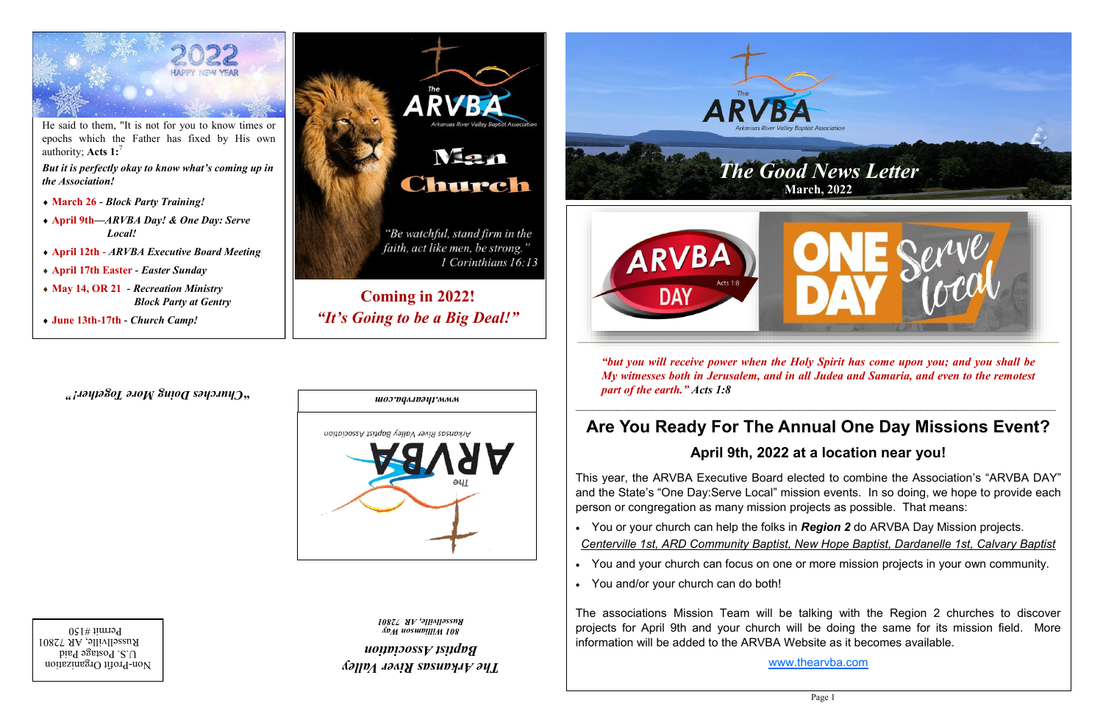

Arkansas River Valley Baptist Association

*The Arkansas River Valley Baptist Association*

*801 Williamson Way Russellville, AR 72801* 

*" Churches Doing More Together!* **"**

*www.thearvba.com*



He said to them, "It is not for you to know times or epochs which the Father has fixed by His own authority; **Acts 1:**<sup>7</sup>

*But it is perfectly okay to know what's coming up in the Association!*

- **March 26** *- Block Party Training!*
- **April 9th***—ARVBA Day! & One Day: Serve Local!*
- **April 12th** *- ARVBA Executive Board Meeting*
- **April 17th Easter** *- Easter Sunday*
- **May 14, OR 21** *- Recreation Ministry Block Party at Gentry*
- **June 13th-17th -** *Church Camp!*





*"but you will receive power when the Holy Spirit has come upon you; and you shall be My witnesses both in Jerusalem, and in all Judea and Samaria, and even to the remotest* 

*part of the earth." Acts 1:8*

# **Are You Ready For The Annual One Day Missions Event?**

### **April 9th, 2022 at a location near you!**

This year, the ARVBA Executive Board elected to combine the Association's "ARVBA DAY" and the State's "One Day:Serve Local" mission events. In so doing, we hope to provide each person or congregation as many mission projects as possible. That means:

*Centerville 1st, ARD Community Baptist, New Hope Baptist, Dardanelle 1st, Calvary Baptist*

- You or your church can help the folks in *Region 2* do ARVBA Day Mission projects.
- 
- You and/or your church can do both!

• You and your church can focus on one or more mission projects in your own community.

The associations Mission Team will be talking with the Region 2 churches to discover projects for April 9th and your church will be doing the same for its mission field. More information will be added to the ARVBA Website as it becomes available.

[www.thearvba.com](http://www.thearvba.com)

Non-Profit Organization  $U.S.$  Postage Paid Russellville, AR 72801  $P$ ermit #150